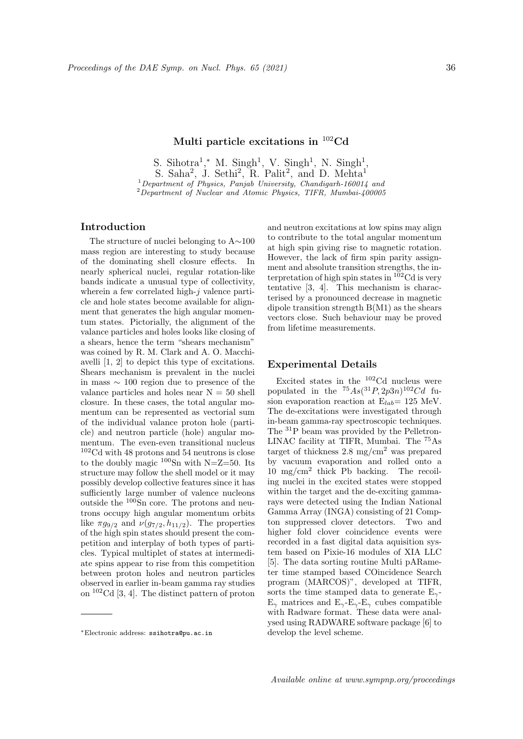# **Multi particle excitations in** <sup>102</sup>**Cd**

S. Sihotra<sup>1</sup>,\* M. Singh<sup>1</sup>, V. Singh<sup>1</sup>, N. Singh<sup>1</sup>, S. Saha<sup>2</sup>, J. Sethi<sup>2</sup>, R. Palit<sup>2</sup>, and D. Mehta<sup>1</sup> <sup>1</sup>*Department of Physics, Panjab University, Chandigarh-160014 and* <sup>2</sup>*Department of Nuclear and Atomic Physics, TIFR, Mumbai-400005*

# **Introduction**

The structure of nuclei belonging to A*∼*100 mass region are interesting to study because of the dominating shell closure effects. In nearly spherical nuclei, regular rotation-like bands indicate a unusual type of collectivity, wherein a few correlated high-*j* valence particle and hole states become available for alignment that generates the high angular momentum states. Pictorially, the alignment of the valance particles and holes looks like closing of a shears, hence the term "shears mechanism" was coined by R. M. Clark and A. O. Macchiavelli [1, 2] to depict this type of excitations. Shears mechanism is prevalent in the nuclei in mass *∼* 100 region due to presence of the valance particles and holes near  $N = 50$  shell closure. In these cases, the total angular momentum can be represented as vectorial sum of the individual valance proton hole (particle) and neutron particle (hole) angular momentum. The even-even transitional nucleus  $\rm ^{102}Cd$  with 48 protons and 54 neutrons is close to the doubly magic  $100\text{Sn}$  with N=Z=50. Its structure may follow the shell model or it may possibly develop collective features since it has sufficiently large number of valence nucleons outside the <sup>100</sup>Sn core. The protons and neutrons occupy high angular momentum orbits like  $\pi g_{9/2}$  and  $\nu(g_{7/2}, h_{11/2})$ . The properties of the high spin states should present the competition and interplay of both types of particles. Typical multiplet of states at intermediate spins appear to rise from this competition between proton holes and neutron particles observed in earlier in-beam gamma ray studies on <sup>102</sup>Cd [3, 4]. The distinct pattern of proton

and neutron excitations at low spins may align to contribute to the total angular momentum at high spin giving rise to magnetic rotation. However, the lack of firm spin parity assignment and absolute transition strengths, the interpretation of high spin states in  $10^{2}$ Cd is very tentative [3, 4]. This mechanism is characterised by a pronounced decrease in magnetic dipole transition strength B(M1) as the shears vectors close. Such behaviour may be proved from lifetime measurements.

### **Experimental Details**

Excited states in the <sup>102</sup>Cd nucleus were populated in the  ${}^{75}As({}^{31}P, 2p3n)^{102}Cd$  fusion evaporation reaction at  $E_{lab} = 125$  MeV. The de-excitations were investigated through in-beam gamma-ray spectroscopic techniques. The <sup>31</sup>P beam was provided by the Pelletron-LINAC facility at TIFR, Mumbai. The <sup>75</sup>As target of thickness  $2.8 \text{ mg/cm}^2$  was prepared by vacuum evaporation and rolled onto a 10 mg/cm<sup>2</sup> thick Pb backing. The recoiling nuclei in the excited states were stopped within the target and the de-exciting gammarays were detected using the Indian National Gamma Array (INGA) consisting of 21 Compton suppressed clover detectors. Two and higher fold clover coincidence events were recorded in a fast digital data aquisition system based on Pixie-16 modules of XIA LLC [5]. The data sorting routine Multi pARameter time stamped based COincidence Search program (MARCOS)", developed at TIFR, sorts the time stamped data to generate E*γ*- $E_\gamma$  matrices and  $E_\gamma$ - $E_\gamma$ - $E_\gamma$  cubes compatible with Radware format. These data were analysed using RADWARE software package [6] to develop the level scheme.

*<sup>∗</sup>*Electronic address: ssihotra@pu.ac.in